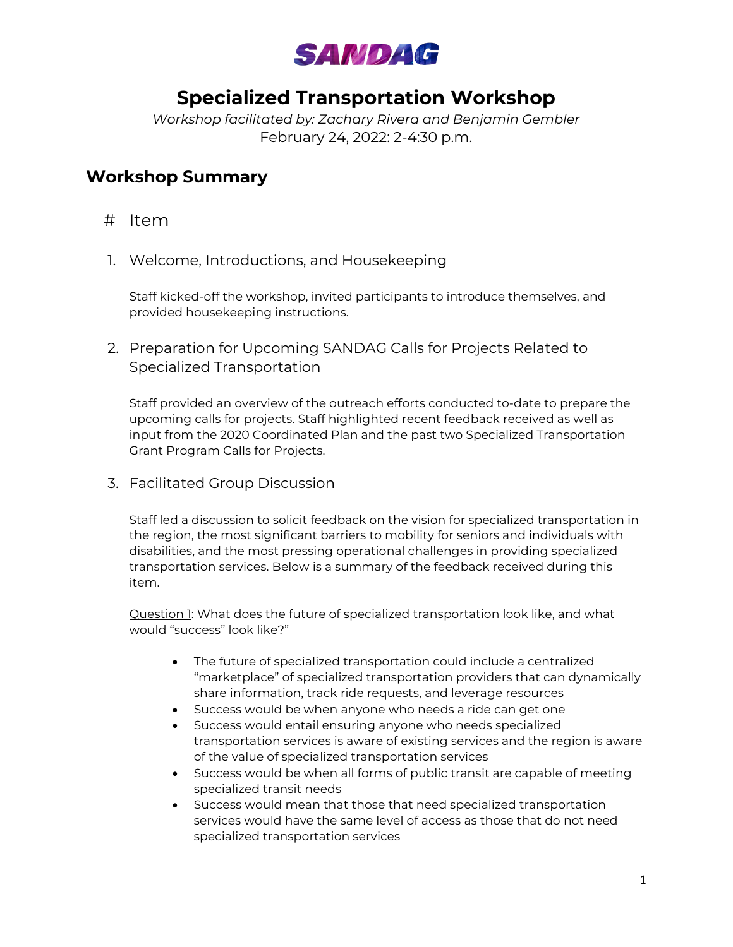

# **Specialized Transportation Workshop**

*Workshop facilitated by: Zachary Rivera and Benjamin Gembler* February 24, 2022: 2-4:30 p.m.

# **Workshop Summary**

- # Item
- 1. Welcome, Introductions, and Housekeeping

Staff kicked-off the workshop, invited participants to introduce themselves, and provided housekeeping instructions.

2. Preparation for Upcoming SANDAG Calls for Projects Related to Specialized Transportation

Staff provided an overview of the outreach efforts conducted to-date to prepare the upcoming calls for projects. Staff highlighted recent feedback received as well as input from the 2020 Coordinated Plan and the past two Specialized Transportation Grant Program Calls for Projects.

3. Facilitated Group Discussion

Staff led a discussion to solicit feedback on the vision for specialized transportation in the region, the most significant barriers to mobility for seniors and individuals with disabilities, and the most pressing operational challenges in providing specialized transportation services. Below is a summary of the feedback received during this item.

Question 1: What does the future of specialized transportation look like, and what would "success" look like?"

- The future of specialized transportation could include a centralized "marketplace" of specialized transportation providers that can dynamically share information, track ride requests, and leverage resources
- Success would be when anyone who needs a ride can get one
- Success would entail ensuring anyone who needs specialized transportation services is aware of existing services and the region is aware of the value of specialized transportation services
- Success would be when all forms of public transit are capable of meeting specialized transit needs
- Success would mean that those that need specialized transportation services would have the same level of access as those that do not need specialized transportation services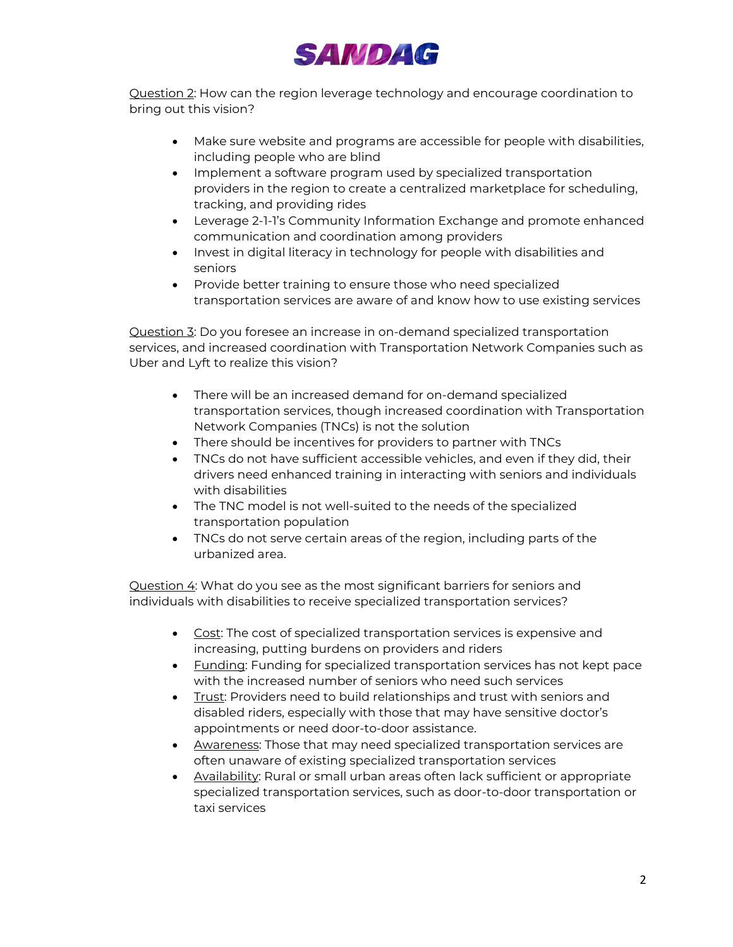

Question 2: How can the region leverage technology and encourage coordination to bring out this vision?

- Make sure website and programs are accessible for people with disabilities, including people who are blind
- Implement a software program used by specialized transportation providers in the region to create a centralized marketplace for scheduling, tracking, and providing rides
- Leverage 2-1-1's Community Information Exchange and promote enhanced communication and coordination among providers
- Invest in digital literacy in technology for people with disabilities and seniors
- Provide better training to ensure those who need specialized transportation services are aware of and know how to use existing services

Question 3: Do you foresee an increase in on-demand specialized transportation services, and increased coordination with Transportation Network Companies such as Uber and Lyft to realize this vision?

- There will be an increased demand for on-demand specialized transportation services, though increased coordination with Transportation Network Companies (TNCs) is not the solution
- There should be incentives for providers to partner with TNCs
- TNCs do not have sufficient accessible vehicles, and even if they did, their drivers need enhanced training in interacting with seniors and individuals with disabilities
- The TNC model is not well-suited to the needs of the specialized transportation population
- TNCs do not serve certain areas of the region, including parts of the urbanized area.

Question 4: What do you see as the most significant barriers for seniors and individuals with disabilities to receive specialized transportation services?

- Cost: The cost of specialized transportation services is expensive and increasing, putting burdens on providers and riders
- Funding: Funding for specialized transportation services has not kept pace with the increased number of seniors who need such services
- Trust: Providers need to build relationships and trust with seniors and disabled riders, especially with those that may have sensitive doctor's appointments or need door-to-door assistance.
- Awareness: Those that may need specialized transportation services are often unaware of existing specialized transportation services
- Availability: Rural or small urban areas often lack sufficient or appropriate specialized transportation services, such as door-to-door transportation or taxi services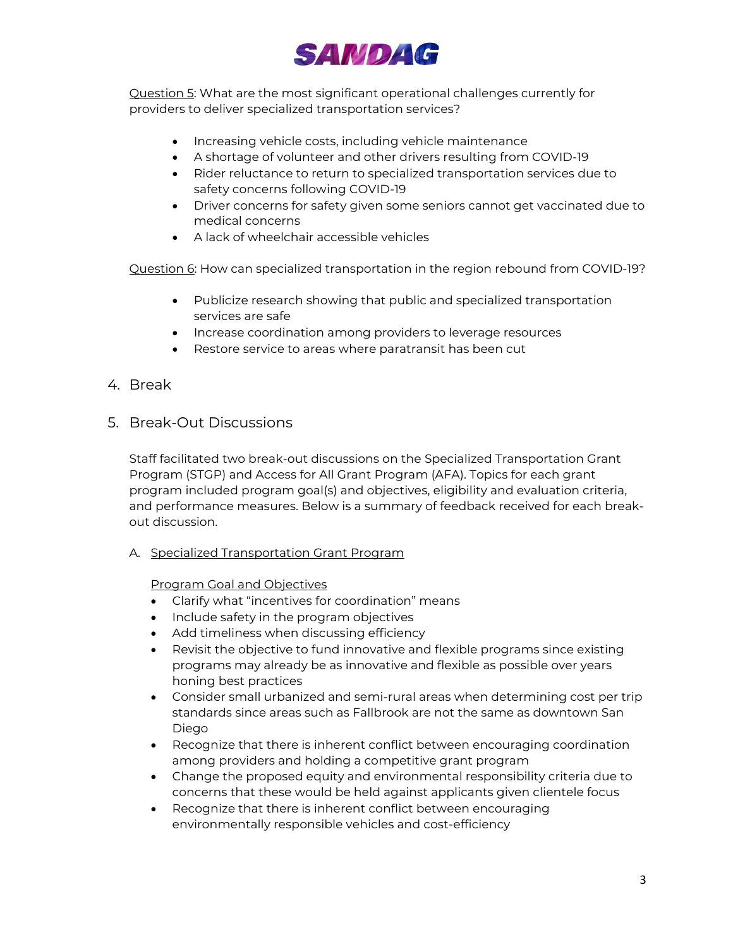

Question 5: What are the most significant operational challenges currently for providers to deliver specialized transportation services?

- Increasing vehicle costs, including vehicle maintenance
- A shortage of volunteer and other drivers resulting from COVID-19
- Rider reluctance to return to specialized transportation services due to safety concerns following COVID-19
- Driver concerns for safety given some seniors cannot get vaccinated due to medical concerns
- A lack of wheelchair accessible vehicles

Question 6: How can specialized transportation in the region rebound from COVID-19?

- Publicize research showing that public and specialized transportation services are safe
- Increase coordination among providers to leverage resources
- Restore service to areas where paratransit has been cut
- 4. Break
- 5. Break-Out Discussions

Staff facilitated two break-out discussions on the Specialized Transportation Grant Program (STGP) and Access for All Grant Program (AFA). Topics for each grant program included program goal(s) and objectives, eligibility and evaluation criteria, and performance measures. Below is a summary of feedback received for each breakout discussion.

A. Specialized Transportation Grant Program

Program Goal and Objectives

- Clarify what "incentives for coordination" means
- Include safety in the program objectives
- Add timeliness when discussing efficiency
- Revisit the objective to fund innovative and flexible programs since existing programs may already be as innovative and flexible as possible over years honing best practices
- Consider small urbanized and semi-rural areas when determining cost per trip standards since areas such as Fallbrook are not the same as downtown San Diego
- Recognize that there is inherent conflict between encouraging coordination among providers and holding a competitive grant program
- Change the proposed equity and environmental responsibility criteria due to concerns that these would be held against applicants given clientele focus
- Recognize that there is inherent conflict between encouraging environmentally responsible vehicles and cost-efficiency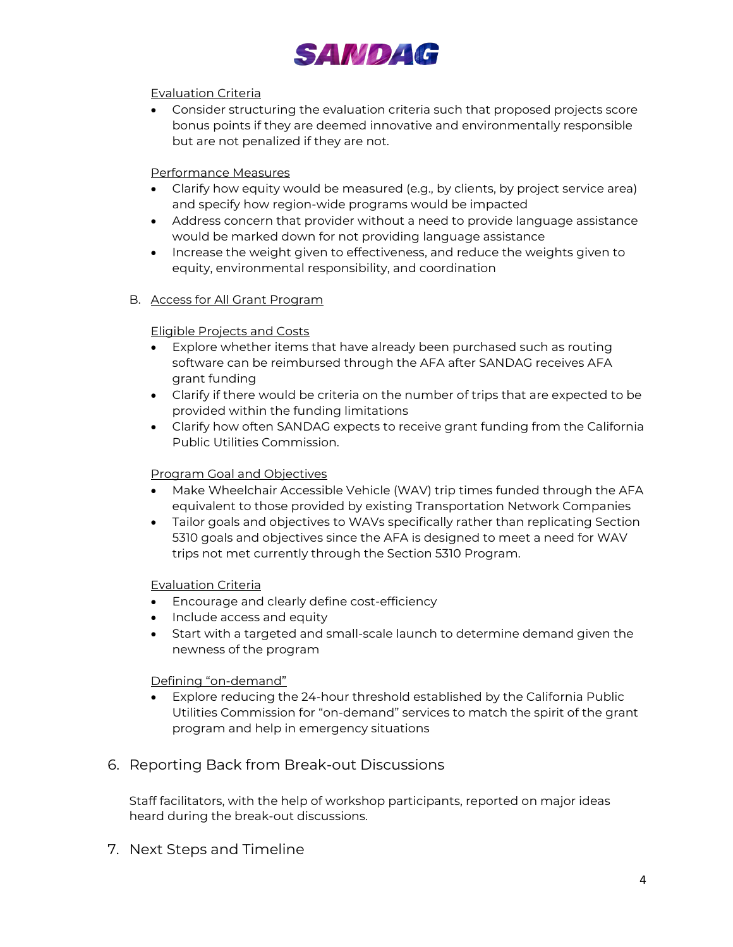

# Evaluation Criteria

• Consider structuring the evaluation criteria such that proposed projects score bonus points if they are deemed innovative and environmentally responsible but are not penalized if they are not.

# Performance Measures

- Clarify how equity would be measured (e.g., by clients, by project service area) and specify how region-wide programs would be impacted
- Address concern that provider without a need to provide language assistance would be marked down for not providing language assistance
- Increase the weight given to effectiveness, and reduce the weights given to equity, environmental responsibility, and coordination

#### B. Access for All Grant Program

### Eligible Projects and Costs

- Explore whether items that have already been purchased such as routing software can be reimbursed through the AFA after SANDAG receives AFA grant funding
- Clarify if there would be criteria on the number of trips that are expected to be provided within the funding limitations
- Clarify how often SANDAG expects to receive grant funding from the California Public Utilities Commission.

#### Program Goal and Objectives

- Make Wheelchair Accessible Vehicle (WAV) trip times funded through the AFA equivalent to those provided by existing Transportation Network Companies
- Tailor goals and objectives to WAVs specifically rather than replicating Section 5310 goals and objectives since the AFA is designed to meet a need for WAV trips not met currently through the Section 5310 Program.

#### Evaluation Criteria

- Encourage and clearly define cost-efficiency
- Include access and equity
- Start with a targeted and small-scale launch to determine demand given the newness of the program

#### Defining "on-demand"

• Explore reducing the 24-hour threshold established by the California Public Utilities Commission for "on-demand" services to match the spirit of the grant program and help in emergency situations

# 6. Reporting Back from Break-out Discussions

Staff facilitators, with the help of workshop participants, reported on major ideas heard during the break-out discussions.

7. Next Steps and Timeline